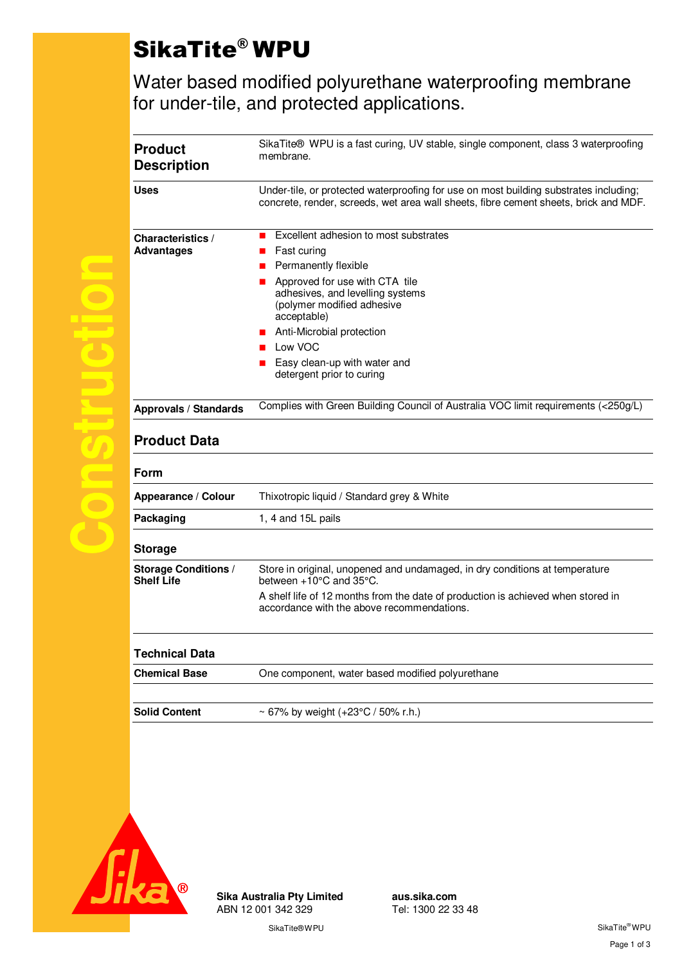# SikaTite® WPU

Water based modified polyurethane waterproofing membrane for under-tile, and protected applications.

| <b>Description</b>                               | SikaTite® WPU is a fast curing, UV stable, single component, class 3 waterproofing<br>membrane.<br>Under-tile, or protected waterproofing for use on most building substrates including;<br>concrete, render, screeds, wet area wall sheets, fibre cement sheets, brick and MDF.                                       |  |  |
|--------------------------------------------------|------------------------------------------------------------------------------------------------------------------------------------------------------------------------------------------------------------------------------------------------------------------------------------------------------------------------|--|--|
| <b>Uses</b>                                      |                                                                                                                                                                                                                                                                                                                        |  |  |
| <b>Characteristics /</b><br><b>Advantages</b>    | Excellent adhesion to most substrates<br>Fast curing<br>Permanently flexible<br>Approved for use with CTA tile<br>adhesives, and levelling systems<br>(polymer modified adhesive<br>acceptable)<br>Anti-Microbial protection<br>$\blacksquare$<br>Low VOC<br>Easy clean-up with water and<br>detergent prior to curing |  |  |
| <b>Approvals / Standards</b>                     | Complies with Green Building Council of Australia VOC limit requirements (<250g/L)                                                                                                                                                                                                                                     |  |  |
|                                                  |                                                                                                                                                                                                                                                                                                                        |  |  |
| <b>Product Data</b>                              |                                                                                                                                                                                                                                                                                                                        |  |  |
| Form                                             |                                                                                                                                                                                                                                                                                                                        |  |  |
| Appearance / Colour<br>Packaging                 | Thixotropic liquid / Standard grey & White<br>1, 4 and 15L pails                                                                                                                                                                                                                                                       |  |  |
| <b>Storage</b>                                   |                                                                                                                                                                                                                                                                                                                        |  |  |
| <b>Storage Conditions /</b><br><b>Shelf Life</b> | Store in original, unopened and undamaged, in dry conditions at temperature<br>between +10°C and 35°C.                                                                                                                                                                                                                 |  |  |
|                                                  | A shelf life of 12 months from the date of production is achieved when stored in<br>accordance with the above recommendations.                                                                                                                                                                                         |  |  |
| <b>Technical Data</b>                            |                                                                                                                                                                                                                                                                                                                        |  |  |
| <b>Chemical Base</b>                             | One component, water based modified polyurethane                                                                                                                                                                                                                                                                       |  |  |



**Sika Australia Pty Limited aus.sika.com** ABN 12 001 342 329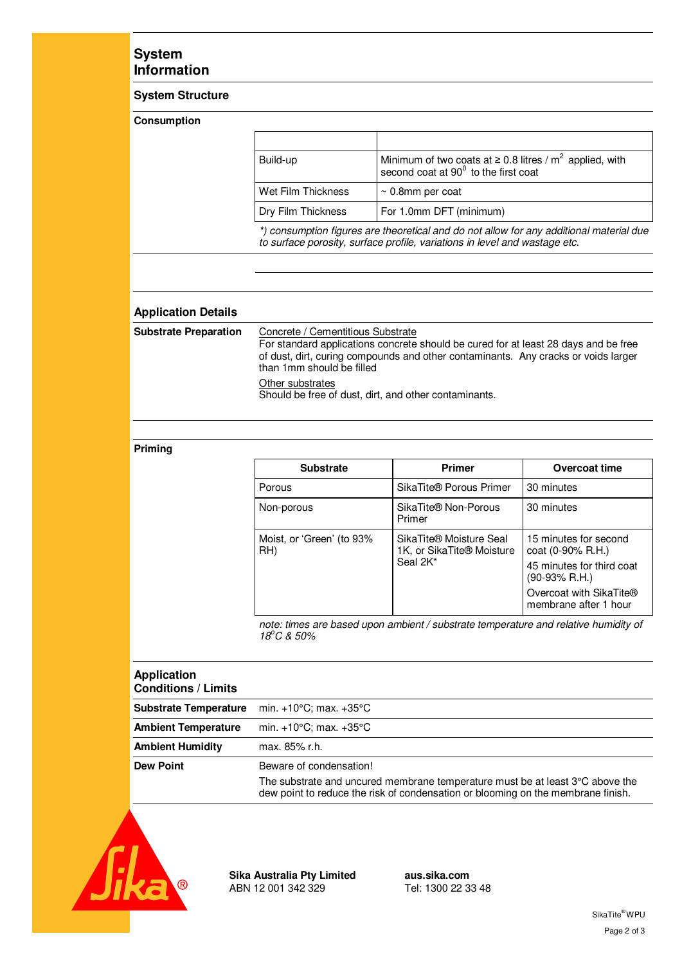### **System Information**

#### **System Structure**

#### **Consumption**

|  | Build-up                                                                                                                                                              | Minimum of two coats at $\geq$ 0.8 litres / m <sup>2</sup> applied, with<br>second coat at 90° to the first coat |  |
|--|-----------------------------------------------------------------------------------------------------------------------------------------------------------------------|------------------------------------------------------------------------------------------------------------------|--|
|  | Wet Film Thickness                                                                                                                                                    | $\sim$ 0.8mm per coat                                                                                            |  |
|  | Dry Film Thickness                                                                                                                                                    | For 1.0mm DFT (minimum)                                                                                          |  |
|  | *) consumption figures are theoretical and do not allow for any additional material due<br>to surface porosity, surface profile, variations in level and wastage etc. |                                                                                                                  |  |

#### **Application Details**

| <b>Substrate Preparation</b> | Concrete / Cementitious Substrate<br>For standard applications concrete should be cured for at least 28 days and be free<br>of dust, dirt, curing compounds and other contaminants. Any cracks or voids larger<br>than 1mm should be filled |
|------------------------------|---------------------------------------------------------------------------------------------------------------------------------------------------------------------------------------------------------------------------------------------|
|                              | Other substrates<br>Should be free of dust, dirt, and other contaminants.                                                                                                                                                                   |

#### **Priming**

| <b>Substrate</b>                 | <b>Primer</b>                                                                            | Overcoat time                                        |
|----------------------------------|------------------------------------------------------------------------------------------|------------------------------------------------------|
| Porous                           | SikaTite® Porous Primer                                                                  | 30 minutes                                           |
| Non-porous                       | SikaTite® Non-Porous<br>Primer                                                           | 30 minutes                                           |
| Moist, or 'Green' (to 93%<br>RH) | SikaTite <sup>®</sup> Moisture Seal<br>1K, or SikaTite <sup>®</sup> Moisture<br>Seal 2K* | 15 minutes for second<br>$\cot(0.90\% \text{ R.H.})$ |
|                                  |                                                                                          | 45 minutes for third coat<br>$(90-93% R.H.)$         |
|                                  |                                                                                          | Overcoat with SikaTite®<br>membrane after 1 hour     |

*note: times are based upon ambient / substrate temperature and relative humidity of 18<sup>o</sup>C & 50%* 

## **Application Conditions / Limits Substrate Temperature** min. +10°C; max. +35°C **Ambient Temperature** min. +10°C; max. +35°C **Ambient Humidity** max. 85% r.h. **Dew Point Beware of condensation!** The substrate and uncured membrane temperature must be at least 3°C above the dew point to reduce the risk of condensation or blooming on the membrane finish.



**Sika Australia Pty Limited aus.sika.com** ABN 12 001 342 329 Tel: 1300 22 33 48